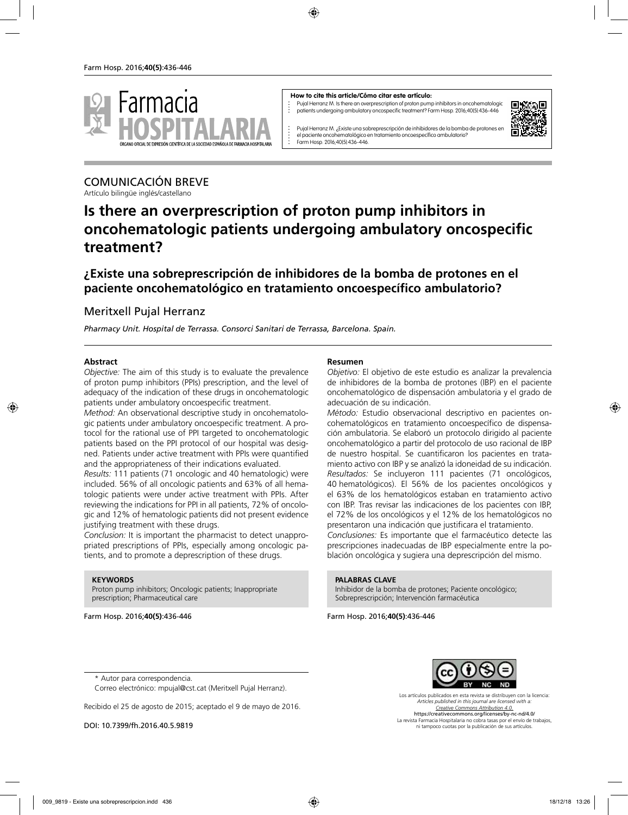

#### **How to cite this article/Cómo citar este artículo:**

Pujal Herranz M. Is there an overprescription of proton pump inhibitors in oncohematologic patients undergoing ambulatory oncospecific treatment? Farm Hosp. 2016;40(5):436-446



Pujal Herranz M. ¿Existe una sobreprescripción de inhibidores de la bomba de protones en el paciente oncohematológico en tratamiento oncoespecífico ambulatorio? Farm Hosp. 2016;40(5):436-446.

# COMUNICACIÓN BREVE

Artículo bilingüe inglés/castellano

# **Is there an overprescription of proton pump inhibitors in oncohematologic patients undergoing ambulatory oncospecific treatment?**

**¿Existe una sobreprescripción de inhibidores de la bomba de protones en el paciente oncohematológico en tratamiento oncoespecífico ambulatorio?**

## Meritxell Pujal Herranz

*Pharmacy Unit. Hospital de Terrassa. Consorci Sanitari de Terrassa, Barcelona. Spain.*

#### **Abstract**

*Objective:* The aim of this study is to evaluate the prevalence of proton pump inhibitors (PPIs) prescription, and the level of adequacy of the indication of these drugs in oncohematologic patients under ambulatory oncoespecific treatment.

*Method:* An observational descriptive study in oncohematologic patients under ambulatory oncoespecific treatment. A protocol for the rational use of PPI targeted to oncohematologic patients based on the PPI protocol of our hospital was designed. Patients under active treatment with PPIs were quantified and the appropriateness of their indications evaluated.

*Results:* 111 patients (71 oncologic and 40 hematologic) were included. 56% of all oncologic patients and 63% of all hematologic patients were under active treatment with PPIs. After reviewing the indications for PPI in all patients, 72% of oncologic and 12% of hematologic patients did not present evidence justifying treatment with these drugs.

*Conclusion:* It is important the pharmacist to detect unappropriated prescriptions of PPIs, especially among oncologic patients, and to promote a deprescription of these drugs.

#### **KEYWORDS**

Proton pump inhibitors; Oncologic patients; Inappropriate prescription; Pharmaceutical care

Farm Hosp. 2016;**40(5)**:436-446

#### **Resumen**

*Objetivo:* El objetivo de este estudio es analizar la prevalencia de inhibidores de la bomba de protones (IBP) en el paciente oncohematológico de dispensación ambulatoria y el grado de adecuación de su indicación.

*Método:* Estudio observacional descriptivo en pacientes oncohematológicos en tratamiento oncoespecífico de dispensación ambulatoria. Se elaboró un protocolo dirigido al paciente oncohematológico a partir del protocolo de uso racional de IBP de nuestro hospital. Se cuantificaron los pacientes en tratamiento activo con IBP y se analizó la idoneidad de su indicación. *Resultados:* Se incluyeron 111 pacientes (71 oncológicos, 40 hematológicos). El 56% de los pacientes oncológicos y el 63% de los hematológicos estaban en tratamiento activo con IBP. Tras revisar las indicaciones de los pacientes con IBP, el 72% de los oncológicos y el 12% de los hematológicos no presentaron una indicación que justificara el tratamiento.

*Conclusiones:* Es importante que el farmacéutico detecte las prescripciones inadecuadas de IBP especialmente entre la población oncológica y sugiera una deprescripción del mismo.

#### **PALABRAS CLAVE**

Inhibidor de la bomba de protones; Paciente oncológico; Sobreprescripción; Intervención farmacéutica

Farm Hosp. 2016;**40(5)**:436-446



\* Autor para correspondencia.

Correo electrónico: mpujal@cst.cat (Meritxell Pujal Herranz).

Recibido el 25 de agosto de 2015; aceptado el 9 de mayo de 2016.

DOI: 10.7399/fh.2016.40.5.9819

*Articles published in this journal are licensed with a: Creative Commons Attribution 4.0.* https://creativecommons.org/licenses/by-nc-nd/4.0/ La revista Farmacia Hospitalaria no cobra tasas por el envío de trabajos, ni tampoco cuotas por la publicación de sus artículos.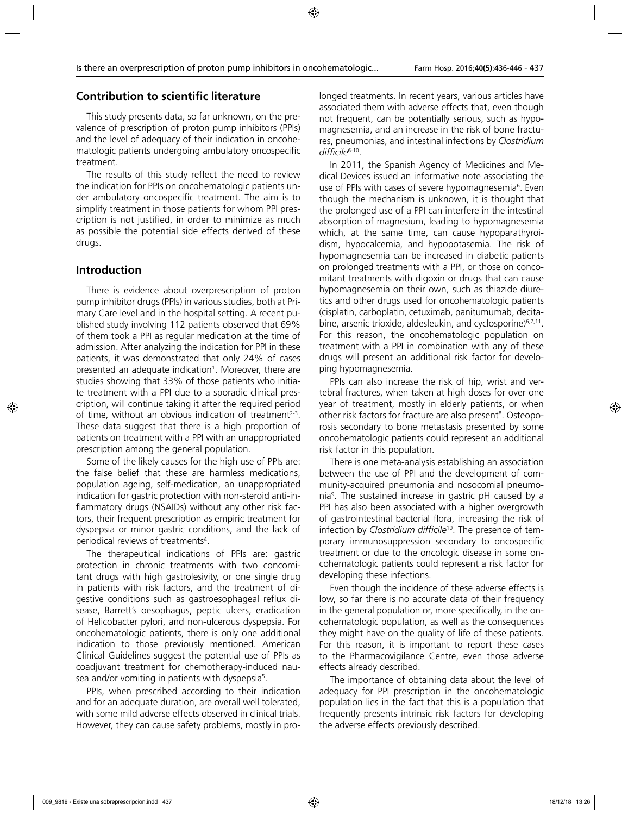# **Contribution to scientific literature**

This study presents data, so far unknown, on the prevalence of prescription of proton pump inhibitors (PPIs) and the level of adequacy of their indication in oncohematologic patients undergoing ambulatory oncospecific treatment.

The results of this study reflect the need to review the indication for PPIs on oncohematologic patients under ambulatory oncospecific treatment. The aim is to simplify treatment in those patients for whom PPI prescription is not justified, in order to minimize as much as possible the potential side effects derived of these drugs.

# **Introduction**

There is evidence about overprescription of proton pump inhibitor drugs (PPIs) in various studies, both at Primary Care level and in the hospital setting. A recent published study involving 112 patients observed that 69% of them took a PPI as regular medication at the time of admission. After analyzing the indication for PPI in these patients, it was demonstrated that only 24% of cases presented an adequate indication<sup>1</sup>. Moreover, there are studies showing that 33% of those patients who initiate treatment with a PPI due to a sporadic clinical prescription, will continue taking it after the required period of time, without an obvious indication of treatment<sup>2-3</sup>. These data suggest that there is a high proportion of patients on treatment with a PPI with an unappropriated prescription among the general population.

Some of the likely causes for the high use of PPIs are: the false belief that these are harmless medications, population ageing, self-medication, an unappropriated indication for gastric protection with non-steroid anti-inflammatory drugs (NSAIDs) without any other risk factors, their frequent prescription as empiric treatment for dyspepsia or minor gastric conditions, and the lack of periodical reviews of treatments<sup>4</sup>.

The therapeutical indications of PPIs are: gastric protection in chronic treatments with two concomitant drugs with high gastrolesivity, or one single drug in patients with risk factors, and the treatment of digestive conditions such as gastroesophageal reflux disease, Barrett's oesophagus, peptic ulcers, eradication of Helicobacter pylori, and non-ulcerous dyspepsia. For oncohematologic patients, there is only one additional indication to those previously mentioned. American Clinical Guidelines suggest the potential use of PPIs as coadjuvant treatment for chemotherapy-induced nausea and/or vomiting in patients with dyspepsia<sup>5</sup>.

PPIs, when prescribed according to their indication and for an adequate duration, are overall well tolerated, with some mild adverse effects observed in clinical trials. However, they can cause safety problems, mostly in prolonged treatments. In recent years, various articles have associated them with adverse effects that, even though not frequent, can be potentially serious, such as hypomagnesemia, and an increase in the risk of bone fractures, pneumonias, and intestinal infections by *Clostridium difficile*6-10.

In 2011, the Spanish Agency of Medicines and Medical Devices issued an informative note associating the use of PPIs with cases of severe hypomagnesemia<sup>6</sup>. Even though the mechanism is unknown, it is thought that the prolonged use of a PPI can interfere in the intestinal absorption of magnesium, leading to hypomagnesemia which, at the same time, can cause hypoparathyroidism, hypocalcemia, and hypopotasemia. The risk of hypomagnesemia can be increased in diabetic patients on prolonged treatments with a PPI, or those on concomitant treatments with digoxin or drugs that can cause hypomagnesemia on their own, such as thiazide diuretics and other drugs used for oncohematologic patients (cisplatin, carboplatin, cetuximab, panitumumab, decitabine, arsenic trioxide, aldesleukin, and cyclosporine)<sup>6,7,11</sup>. For this reason, the oncohematologic population on treatment with a PPI in combination with any of these drugs will present an additional risk factor for developing hypomagnesemia.

PPIs can also increase the risk of hip, wrist and vertebral fractures, when taken at high doses for over one year of treatment, mostly in elderly patients, or when other risk factors for fracture are also present<sup>8</sup>. Osteoporosis secondary to bone metastasis presented by some oncohematologic patients could represent an additional risk factor in this population.

There is one meta-analysis establishing an association between the use of PPI and the development of community-acquired pneumonia and nosocomial pneumonia9 . The sustained increase in gastric pH caused by a PPI has also been associated with a higher overgrowth of gastrointestinal bacterial flora, increasing the risk of infection by *Clostridium difficile*10. The presence of temporary immunosuppression secondary to oncospecific treatment or due to the oncologic disease in some oncohematologic patients could represent a risk factor for developing these infections.

Even though the incidence of these adverse effects is low, so far there is no accurate data of their frequency in the general population or, more specifically, in the oncohematologic population, as well as the consequences they might have on the quality of life of these patients. For this reason, it is important to report these cases to the Pharmacovigilance Centre, even those adverse effects already described.

The importance of obtaining data about the level of adequacy for PPI prescription in the oncohematologic population lies in the fact that this is a population that frequently presents intrinsic risk factors for developing the adverse effects previously described.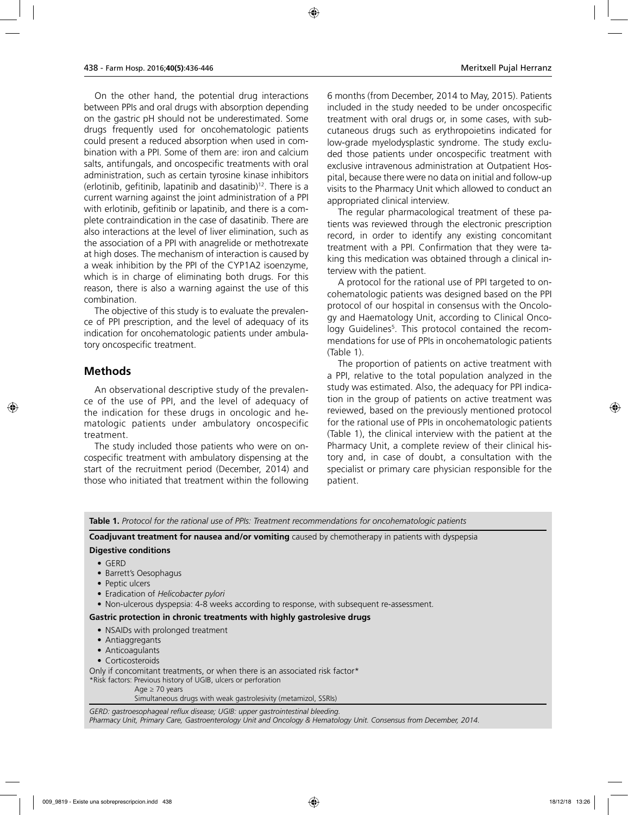On the other hand, the potential drug interactions between PPIs and oral drugs with absorption depending on the gastric pH should not be underestimated. Some drugs frequently used for oncohematologic patients could present a reduced absorption when used in combination with a PPI. Some of them are: iron and calcium salts, antifungals, and oncospecific treatments with oral administration, such as certain tyrosine kinase inhibitors (erlotinib, gefitinib, lapatinib and dasatinib) $12$ . There is a current warning against the joint administration of a PPI with erlotinib, gefitinib or lapatinib, and there is a complete contraindication in the case of dasatinib. There are also interactions at the level of liver elimination, such as the association of a PPI with anagrelide or methotrexate at high doses. The mechanism of interaction is caused by a weak inhibition by the PPI of the CYP1A2 isoenzyme, which is in charge of eliminating both drugs. For this reason, there is also a warning against the use of this combination.

The objective of this study is to evaluate the prevalence of PPI prescription, and the level of adequacy of its indication for oncohematologic patients under ambulatory oncospecific treatment.

## **Methods**

An observational descriptive study of the prevalence of the use of PPI, and the level of adequacy of the indication for these drugs in oncologic and hematologic patients under ambulatory oncospecific treatment.

The study included those patients who were on oncospecific treatment with ambulatory dispensing at the start of the recruitment period (December, 2014) and those who initiated that treatment within the following 6 months (from December, 2014 to May, 2015). Patients included in the study needed to be under oncospecific treatment with oral drugs or, in some cases, with subcutaneous drugs such as erythropoietins indicated for low-grade myelodysplastic syndrome. The study excluded those patients under oncospecific treatment with exclusive intravenous administration at Outpatient Hospital, because there were no data on initial and follow-up visits to the Pharmacy Unit which allowed to conduct an appropriated clinical interview.

The regular pharmacological treatment of these patients was reviewed through the electronic prescription record, in order to identify any existing concomitant treatment with a PPI. Confirmation that they were taking this medication was obtained through a clinical interview with the patient.

A protocol for the rational use of PPI targeted to oncohematologic patients was designed based on the PPI protocol of our hospital in consensus with the Oncology and Haematology Unit, according to Clinical Oncology Guidelines5 . This protocol contained the recommendations for use of PPIs in oncohematologic patients (Table 1).

The proportion of patients on active treatment with a PPI, relative to the total population analyzed in the study was estimated. Also, the adequacy for PPI indication in the group of patients on active treatment was reviewed, based on the previously mentioned protocol for the rational use of PPIs in oncohematologic patients (Table 1), the clinical interview with the patient at the Pharmacy Unit, a complete review of their clinical history and, in case of doubt, a consultation with the specialist or primary care physician responsible for the patient.

**Table 1.** *Protocol for the rational use of PPIs: Treatment recommendations for oncohematologic patients*

**Coadjuvant treatment for nausea and/or vomiting** caused by chemotherapy in patients with dyspepsia

#### **Digestive conditions**

- GERD
- Barrett's Oesophagus
- Peptic ulcers
- Eradication of *Helicobacter pylori*
- Non-ulcerous dyspepsia: 4-8 weeks according to response, with subsequent re-assessment.

#### **Gastric protection in chronic treatments with highly gastrolesive drugs**

- NSAIDs with prolonged treatment
- Antiaggregants
- Anticoagulants
- Corticosteroids

Only if concomitant treatments, or when there is an associated risk factor\*

\*Risk factors: Previous history of UGIB, ulcers or perforation

Age ≥ 70 years

Simultaneous drugs with weak gastrolesivity (metamizol, SSRIs)

*GERD: gastroesophageal reflux disease; UGIB: upper gastrointestinal bleeding. Pharmacy Unit, Primary Care, Gastroenterology Unit and Oncology & Hematology Unit. Consensus from December, 2014.*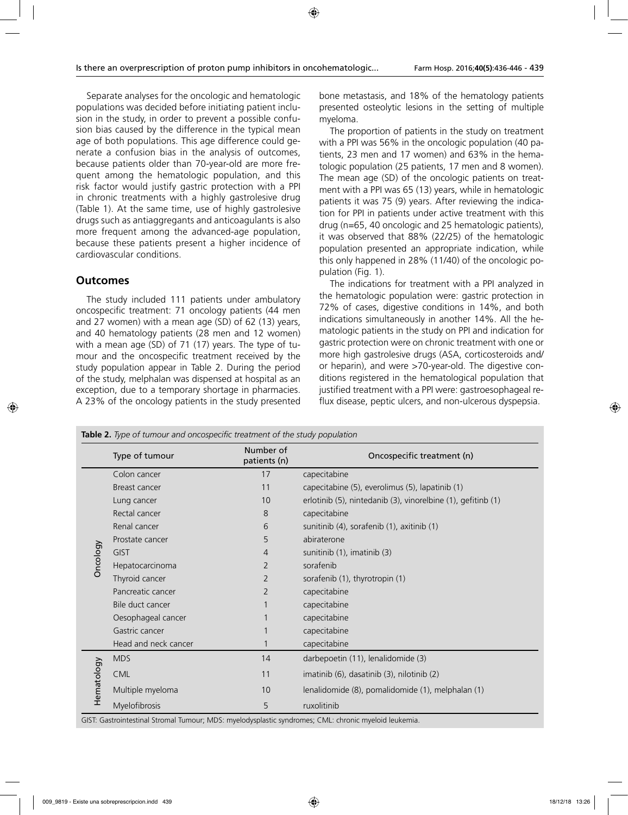Separate analyses for the oncologic and hematologic populations was decided before initiating patient inclusion in the study, in order to prevent a possible confusion bias caused by the difference in the typical mean age of both populations. This age difference could generate a confusion bias in the analysis of outcomes, because patients older than 70-year-old are more frequent among the hematologic population, and this risk factor would justify gastric protection with a PPI in chronic treatments with a highly gastrolesive drug (Table 1). At the same time, use of highly gastrolesive drugs such as antiaggregants and anticoagulants is also more frequent among the advanced-age population, because these patients present a higher incidence of cardiovascular conditions.

## **Outcomes**

The study included 111 patients under ambulatory oncospecific treatment: 71 oncology patients (44 men and 27 women) with a mean age (SD) of 62 (13) years, and 40 hematology patients (28 men and 12 women) with a mean age (SD) of 71 (17) years. The type of tumour and the oncospecific treatment received by the study population appear in Table 2. During the period of the study, melphalan was dispensed at hospital as an exception, due to a temporary shortage in pharmacies. A 23% of the oncology patients in the study presented

bone metastasis, and 18% of the hematology patients presented osteolytic lesions in the setting of multiple myeloma.

The proportion of patients in the study on treatment with a PPI was 56% in the oncologic population (40 patients, 23 men and 17 women) and 63% in the hematologic population (25 patients, 17 men and 8 women). The mean age (SD) of the oncologic patients on treatment with a PPI was 65 (13) years, while in hematologic patients it was 75 (9) years. After reviewing the indication for PPI in patients under active treatment with this drug (n=65, 40 oncologic and 25 hematologic patients), it was observed that 88% (22/25) of the hematologic population presented an appropriate indication, while this only happened in 28% (11/40) of the oncologic population (Fig. 1).

The indications for treatment with a PPI analyzed in the hematologic population were: gastric protection in 72% of cases, digestive conditions in 14%, and both indications simultaneously in another 14%. All the hematologic patients in the study on PPI and indication for gastric protection were on chronic treatment with one or more high gastrolesive drugs (ASA, corticosteroids and/ or heparin), and were >70-year-old. The digestive conditions registered in the hematological population that justified treatment with a PPI were: gastroesophageal reflux disease, peptic ulcers, and non-ulcerous dyspepsia.

|            | Type of tumour       | Number of<br>patients (n) | Oncospecific treatment (n)                                   |
|------------|----------------------|---------------------------|--------------------------------------------------------------|
| Oncology   | Colon cancer         | 17                        | capecitabine                                                 |
|            | Breast cancer        | 11                        | capecitabine (5), everolimus (5), lapatinib (1)              |
|            | Lung cancer          | 10                        | erlotinib (5), nintedanib (3), vinorelbine (1), gefitinb (1) |
|            | Rectal cancer        | 8                         | capecitabine                                                 |
|            | Renal cancer         | 6                         | sunitinib (4), sorafenib (1), axitinib (1)                   |
|            | Prostate cancer      | 5                         | abiraterone                                                  |
|            | <b>GIST</b>          | 4                         | sunitinib (1), imatinib (3)                                  |
|            | Hepatocarcinoma      | $\overline{2}$            | sorafenib                                                    |
|            | Thyroid cancer       | $\overline{2}$            | sorafenib (1), thyrotropin (1)                               |
|            | Pancreatic cancer    | $\overline{2}$            | capecitabine                                                 |
|            | Bile duct cancer     |                           | capecitabine                                                 |
|            | Oesophageal cancer   |                           | capecitabine                                                 |
|            | Gastric cancer       |                           | capecitabine                                                 |
|            | Head and neck cancer |                           | capecitabine                                                 |
| Hematology | <b>MDS</b>           | 14                        | darbepoetin (11), lenalidomide (3)                           |
|            | <b>CML</b>           | 11                        | imatinib (6), dasatinib (3), nilotinib (2)                   |
|            | Multiple myeloma     | 10                        | lenalidomide (8), pomalidomide (1), melphalan (1)            |
|            | Myelofibrosis        | 5                         | ruxolitinib                                                  |

GIST: Gastrointestinal Stromal Tumour; MDS: myelodysplastic syndromes; CML: chronic myeloid leukemia.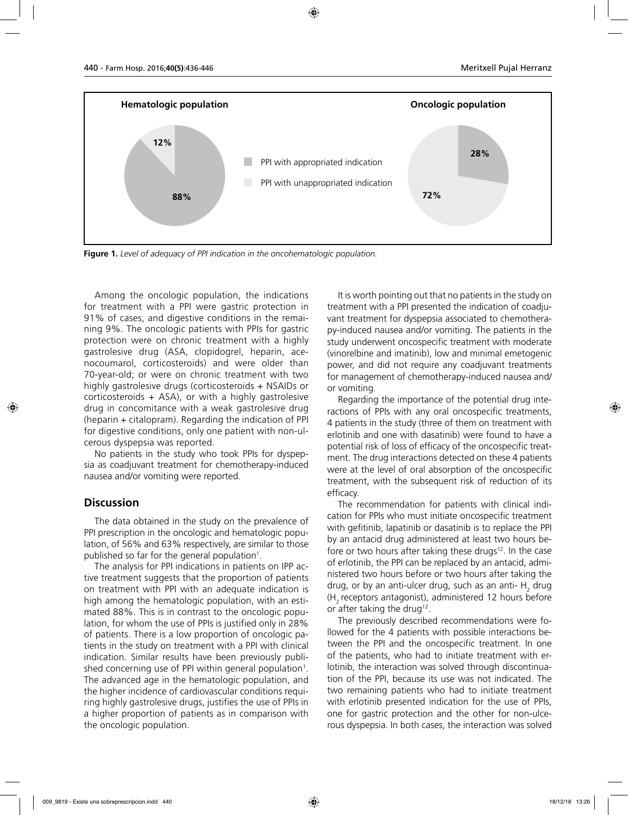

**Figure 1.** *Level of adequacy of PPI indication in the oncohematologic population.* 

Among the oncologic population, the indications for treatment with a PPI were gastric protection in 91% of cases, and digestive conditions in the remaining 9%. The oncologic patients with PPIs for gastric protection were on chronic treatment with a highly gastrolesive drug (ASA, clopidogrel, heparin, acenocoumarol, corticosteroids) and were older than 70-year-old; or were on chronic treatment with two highly gastrolesive drugs (corticosteroids + NSAIDs or corticosteroids + ASA), or with a highly gastrolesive drug in concomitance with a weak gastrolesive drug (heparin + citalopram). Regarding the indication of PPI for digestive conditions, only one patient with non-ulcerous dyspepsia was reported.

No patients in the study who took PPIs for dyspepsia as coadjuvant treatment for chemotherapy-induced nausea and/or vomiting were reported.

### **Discussion**

The data obtained in the study on the prevalence of PPI prescription in the oncologic and hematologic population, of 56% and 63% respectively, are similar to those published so far for the general population $^1$ .

The analysis for PPI indications in patients on IPP active treatment suggests that the proportion of patients on treatment with PPI with an adequate indication is high among the hematologic population, with an estimated 88%. This is in contrast to the oncologic population, for whom the use of PPIs is justified only in 28% of patients. There is a low proportion of oncologic patients in the study on treatment with a PPI with clinical indication. Similar results have been previously published concerning use of PPI within general population<sup>1</sup>. The advanced age in the hematologic population, and the higher incidence of cardiovascular conditions requiring highly gastrolesive drugs, justifies the use of PPIs in a higher proportion of patients as in comparison with the oncologic population.

It is worth pointing out that no patients in the study on treatment with a PPI presented the indication of coadjuvant treatment for dyspepsia associated to chemotherapy-induced nausea and/or vomiting. The patients in the study underwent oncospecific treatment with moderate (vinorelbine and imatinib), low and minimal emetogenic power, and did not require any coadjuvant treatments for management of chemotherapy-induced nausea and/ or vomiting.

Regarding the importance of the potential drug interactions of PPIs with any oral oncospecific treatments, 4 patients in the study (three of them on treatment with erlotinib and one with dasatinib) were found to have a potential risk of loss of efficacy of the oncospecific treatment. The drug interactions detected on these 4 patients were at the level of oral absorption of the oncospecific treatment, with the subsequent risk of reduction of its efficacy.

The recommendation for patients with clinical indication for PPIs who must initiate oncospecific treatment with gefitinib, lapatinib or dasatinib is to replace the PPI by an antacid drug administered at least two hours before or two hours after taking these drugs $12$ . In the case of erlotinib, the PPI can be replaced by an antacid, administered two hours before or two hours after taking the drug, or by an anti-ulcer drug, such as an anti-  $\mathsf{H}_{_2}$  drug (H2 receptors antagonist), administered 12 hours before or after taking the drug<sup>12</sup>.

The previously described recommendations were followed for the 4 patients with possible interactions between the PPI and the oncospecific treatment. In one of the patients, who had to initiate treatment with erlotinib, the interaction was solved through discontinuation of the PPI, because its use was not indicated. The two remaining patients who had to initiate treatment with erlotinib presented indication for the use of PPIs, one for gastric protection and the other for non-ulcerous dyspepsia. In both cases, the interaction was solved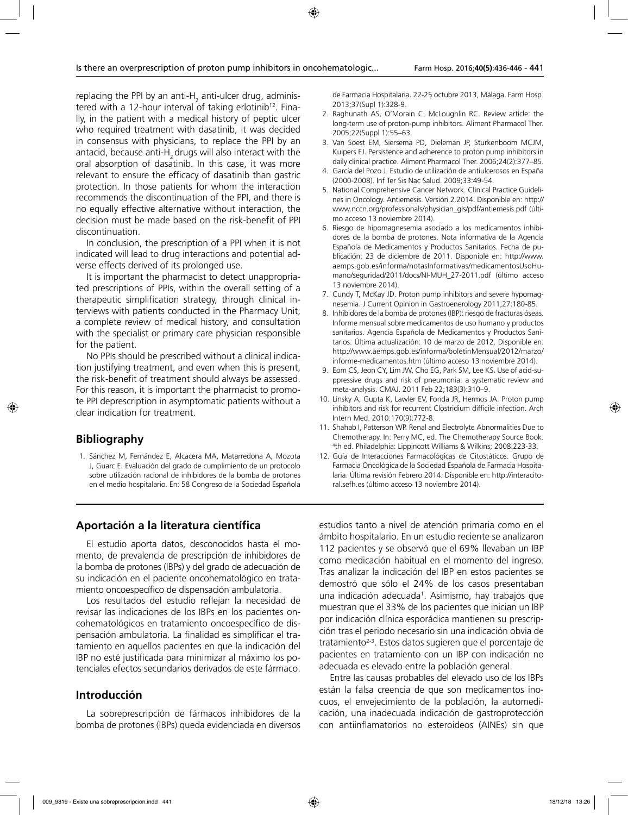replacing the PPI by an anti-H<sub>2</sub> anti-ulcer drug, administered with a 12-hour interval of taking erlotinib<sup>12</sup>. Finally, in the patient with a medical history of peptic ulcer who required treatment with dasatinib, it was decided in consensus with physicians, to replace the PPI by an antacid, because anti-H<sub>2</sub> drugs will also interact with the oral absorption of dasatinib. In this case, it was more relevant to ensure the efficacy of dasatinib than gastric protection. In those patients for whom the interaction recommends the discontinuation of the PPI, and there is no equally effective alternative without interaction, the decision must be made based on the risk-benefit of PPI discontinuation.

In conclusion, the prescription of a PPI when it is not indicated will lead to drug interactions and potential adverse effects derived of its prolonged use.

It is important the pharmacist to detect unappropriated prescriptions of PPIs, within the overall setting of a therapeutic simplification strategy, through clinical interviews with patients conducted in the Pharmacy Unit, a complete review of medical history, and consultation with the specialist or primary care physician responsible for the patient.

No PPIs should be prescribed without a clinical indication justifying treatment, and even when this is present, the risk-benefit of treatment should always be assessed. For this reason, it is important the pharmacist to promote PPI deprescription in asymptomatic patients without a clear indication for treatment.

## **Bibliography**

1. Sánchez M, Fernández E, Alcacera MA, Matarredona A, Mozota J, Guarc E. Evaluación del grado de cumplimiento de un protocolo sobre utilización racional de inhibidores de la bomba de protones en el medio hospitalario. En: 58 Congreso de la Sociedad Española

de Farmacia Hospitalaria. 22-25 octubre 2013, Málaga. Farm Hosp. 2013;37(Supl 1):328-9.

- 2. Raghunath AS, O'Morain C, McLoughlin RC. Review article: the long-term use of proton-pump inhibitors. Aliment Pharmacol Ther. 2005;22(Suppl 1):55–63.
- 3. Van Soest EM, Siersema PD, Dieleman JP, Sturkenboom MCJM, Kuipers EJ. Persistence and adherence to proton pump inhibitors in daily clinical practice. Aliment Pharmacol Ther. 2006;24(2):377–85.
- 4. García del Pozo J. Estudio de utilización de antiulcerosos en España (2000-2008). Inf Ter Sis Nac Salud. 2009;33:49-54.
- 5. National Comprehensive Cancer Network. Clinical Practice Guidelines in Oncology. Antiemesis. Versión 2.2014. Disponible en: http:// www.nccn.org/professionals/physician\_gls/pdf/antiemesis.pdf (último acceso 13 noviembre 2014).
- 6. Riesgo de hipomagnesemia asociado a los medicamentos inhibidores de la bomba de protones. Nota informativa de la Agencia Española de Medicamentos y Productos Sanitarios. Fecha de publicación: 23 de diciembre de 2011. Disponible en: http://www. aemps.gob.es/informa/notasInformativas/medicamentosUsoHumano/seguridad/2011/docs/NI-MUH\_27-2011.pdf (último acceso 13 noviembre 2014).
- 7. Cundy T, McKay JD. Proton pump inhibitors and severe hypomagnesemia. J Current Opinion in Gastroenerology 2011;27:180-85.
- 8. Inhibidores de la bomba de protones (IBP): riesgo de fracturas óseas. Informe mensual sobre medicamentos de uso humano y productos sanitarios. Agencia Española de Medicamentos y Productos Sanitarios. Última actualización: 10 de marzo de 2012. Disponible en: http://www.aemps.gob.es/informa/boletinMensual/2012/marzo/ informe-medicamentos.htm (último acceso 13 noviembre 2014).
- 9. Eom CS, Jeon CY, Lim JW, Cho EG, Park SM, Lee KS. Use of acid-suppressive drugs and risk of pneumonia: a systematic review and meta-analysis. CMAJ. 2011 Feb 22;183(3):310–9.
- 10. Linsky A, Gupta K, Lawler EV, Fonda JR, Hermos JA. Proton pump inhibitors and risk for recurrent Clostridium difficile infection. Arch Intern Med. 2010:170(9):772-8.
- 11. Shahab I, Patterson WP. Renal and Electrolyte Abnormalities Due to Chemotherapy. In: Perry MC, ed. The Chemotherapy Source Book. 4 th ed. Philadelphia: Lippincott Williams & Wilkins; 2008:223‐33.
- 12. Guía de Interacciones Farmacológicas de Citostáticos. Grupo de Farmacia Oncológica de la Sociedad Española de Farmacia Hospitalaria. Última revisión Febrero 2014. Disponible en: http://interacitoral.sefh.es (último acceso 13 noviembre 2014).

# **Aportación a la literatura científica**

El estudio aporta datos, desconocidos hasta el momento, de prevalencia de prescripción de inhibidores de la bomba de protones (IBPs) y del grado de adecuación de su indicación en el paciente oncohematológico en tratamiento oncoespecífico de dispensación ambulatoria.

Los resultados del estudio reflejan la necesidad de revisar las indicaciones de los IBPs en los pacientes oncohematológicos en tratamiento oncoespecífico de dispensación ambulatoria. La finalidad es simplificar el tratamiento en aquellos pacientes en que la indicación del IBP no esté justificada para minimizar al máximo los potenciales efectos secundarios derivados de este fármaco.

## **Introducción**

La sobreprescripción de fármacos inhibidores de la bomba de protones (IBPs) queda evidenciada en diversos estudios tanto a nivel de atención primaria como en el ámbito hospitalario. En un estudio reciente se analizaron 112 pacientes y se observó que el 69% llevaban un IBP como medicación habitual en el momento del ingreso. Tras analizar la indicación del IBP en estos pacientes se demostró que sólo el 24% de los casos presentaban una indicación adecuada<sup>1</sup>. Asimismo, hay trabajos que muestran que el 33% de los pacientes que inician un IBP por indicación clínica esporádica mantienen su prescripción tras el periodo necesario sin una indicación obvia de tratamiento2-3. Estos datos sugieren que el porcentaje de pacientes en tratamiento con un IBP con indicación no adecuada es elevado entre la población general.

Entre las causas probables del elevado uso de los IBPs están la falsa creencia de que son medicamentos inocuos, el envejecimiento de la población, la automedicación, una inadecuada indicación de gastroprotección con antiinflamatorios no esteroideos (AINEs) sin que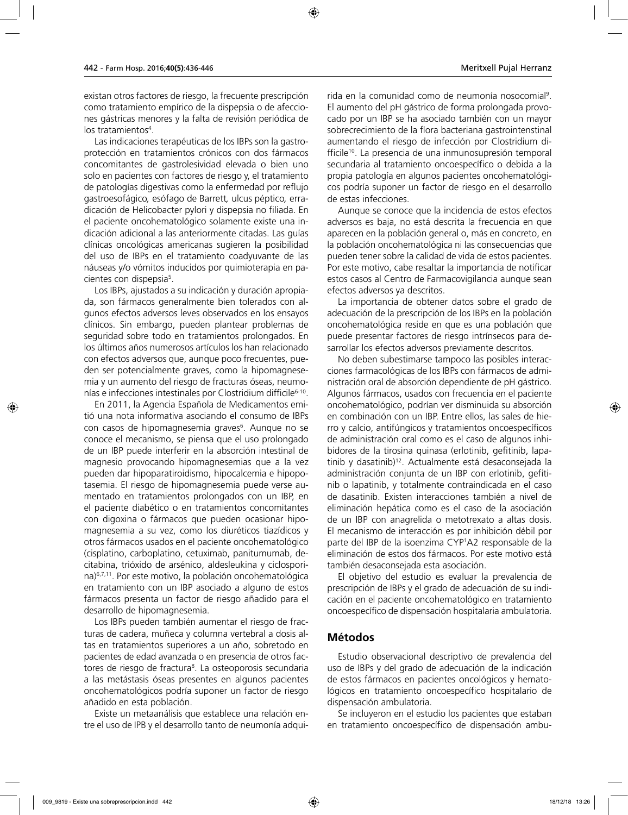existan otros factores de riesgo, la frecuente prescripción como tratamiento empírico de la dispepsia o de afecciones gástricas menores y la falta de revisión periódica de los tratamientos<sup>4</sup>.

Las indicaciones terapéuticas de los IBPs son la gastroprotección en tratamientos crónicos con dos fármacos concomitantes de gastrolesividad elevada o bien uno solo en pacientes con factores de riesgo y, el tratamiento de patologías digestivas como la enfermedad por reflujo gastroesofágico*,* esófago de Barrett*,* ulcus péptico*,* erradicación de Helicobacter pylori y dispepsia no filiada. En el paciente oncohematológico solamente existe una indicación adicional a las anteriormente citadas. Las guías clínicas oncológicas americanas sugieren la posibilidad del uso de IBPs en el tratamiento coadyuvante de las náuseas y/o vómitos inducidos por quimioterapia en pacientes con dispepsia<sup>5</sup>.

Los IBPs, ajustados a su indicación y duración apropiada, son fármacos generalmente bien tolerados con algunos efectos adversos leves observados en los ensayos clínicos. Sin embargo, pueden plantear problemas de seguridad sobre todo en tratamientos prolongados. En los últimos años numerosos artículos los han relacionado con efectos adversos que, aunque poco frecuentes, pueden ser potencialmente graves, como la hipomagnesemia y un aumento del riesgo de fracturas óseas, neumonías e infecciones intestinales por Clostridium difficile<sup>6-10</sup>.

En 2011, la Agencia Española de Medicamentos emitió una nota informativa asociando el consumo de IBPs con casos de hipomagnesemia graves<sup>6</sup>. Aunque no se conoce el mecanismo, se piensa que el uso prolongado de un IBP puede interferir en la absorción intestinal de magnesio provocando hipomagnesemias que a la vez pueden dar hipoparatiroidismo, hipocalcemia e hipopotasemia. El riesgo de hipomagnesemia puede verse aumentado en tratamientos prolongados con un IBP, en el paciente diabético o en tratamientos concomitantes con digoxina o fármacos que pueden ocasionar hipomagnesemia a su vez, como los diuréticos tiazídicos y otros fármacos usados en el paciente oncohematológico (cisplatino, carboplatino, cetuximab, panitumumab, decitabina, trióxido de arsénico, aldesleukina y ciclosporina)6,7,11. Por este motivo, la población oncohematológica en tratamiento con un IBP asociado a alguno de estos fármacos presenta un factor de riesgo añadido para el desarrollo de hipomagnesemia.

Los IBPs pueden también aumentar el riesgo de fracturas de cadera, muñeca y columna vertebral a dosis altas en tratamientos superiores a un año, sobretodo en pacientes de edad avanzada o en presencia de otros factores de riesgo de fractura<sup>8</sup>. La osteoporosis secundaria a las metástasis óseas presentes en algunos pacientes oncohematológicos podría suponer un factor de riesgo añadido en esta población.

Existe un metaanálisis que establece una relación entre el uso de IPB y el desarrollo tanto de neumonía adqui-

rida en la comunidad como de neumonía nosocomial9 . El aumento del pH gástrico de forma prolongada provocado por un IBP se ha asociado también con un mayor sobrecrecimiento de la flora bacteriana gastrointenstinal aumentando el riesgo de infección por Clostridium difficile10. La presencia de una inmunosupresión temporal secundaria al tratamiento oncoespecífico o debida a la propia patología en algunos pacientes oncohematológicos podría suponer un factor de riesgo en el desarrollo de estas infecciones.

Aunque se conoce que la incidencia de estos efectos adversos es baja, no está descrita la frecuencia en que aparecen en la población general o, más en concreto, en la población oncohematológica ni las consecuencias que pueden tener sobre la calidad de vida de estos pacientes. Por este motivo, cabe resaltar la importancia de notificar estos casos al Centro de Farmacovigilancia aunque sean efectos adversos ya descritos.

La importancia de obtener datos sobre el grado de adecuación de la prescripción de los IBPs en la población oncohematológica reside en que es una población que puede presentar factores de riesgo intrínsecos para desarrollar los efectos adversos previamente descritos.

No deben subestimarse tampoco las posibles interacciones farmacológicas de los IBPs con fármacos de administración oral de absorción dependiente de pH gástrico. Algunos fármacos, usados con frecuencia en el paciente oncohematológico, podrían ver disminuida su absorción en combinación con un IBP. Entre ellos, las sales de hierro y calcio, antifúngicos y tratamientos oncoespecíficos de administración oral como es el caso de algunos inhibidores de la tirosina quinasa (erlotinib, gefitinib, lapatinib y dasatinib)<sup>12</sup>. Actualmente está desaconsejada la administración conjunta de un IBP con erlotinib, gefitinib o lapatinib, y totalmente contraindicada en el caso de dasatinib. Existen interacciones también a nivel de eliminación hepática como es el caso de la asociación de un IBP con anagrelida o metotrexato a altas dosis. El mecanismo de interacción es por inhibición débil por parte del IBP de la isoenzima CYP1 A2 responsable de la eliminación de estos dos fármacos. Por este motivo está también desaconsejada esta asociación.

El objetivo del estudio es evaluar la prevalencia de prescripción de IBPs y el grado de adecuación de su indicación en el paciente oncohematológico en tratamiento oncoespecífico de dispensación hospitalaria ambulatoria.

## **Métodos**

Estudio observacional descriptivo de prevalencia del uso de IBPs y del grado de adecuación de la indicación de estos fármacos en pacientes oncológicos y hematológicos en tratamiento oncoespecífico hospitalario de dispensación ambulatoria.

Se incluyeron en el estudio los pacientes que estaban en tratamiento oncoespecífico de dispensación ambu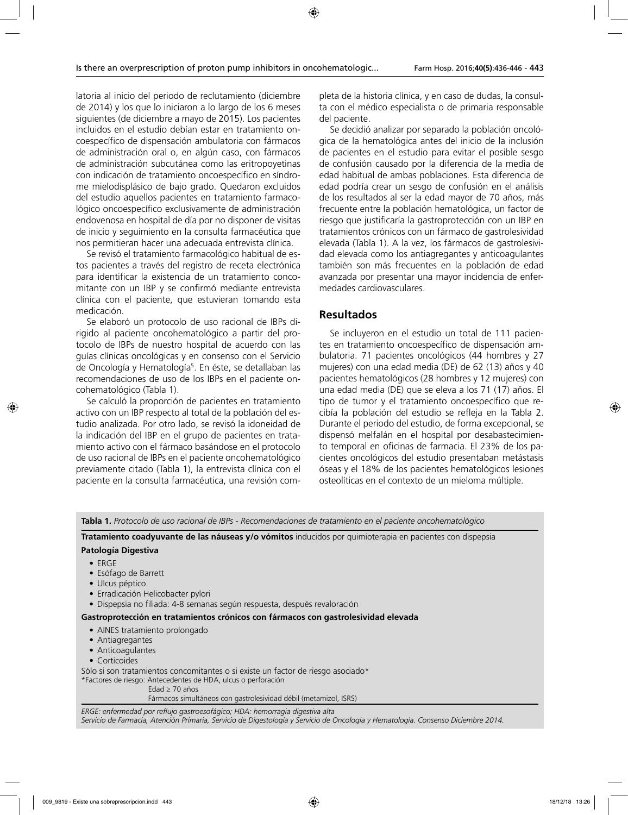latoria al inicio del periodo de reclutamiento (diciembre de 2014) y los que lo iniciaron a lo largo de los 6 meses siguientes (de diciembre a mayo de 2015). Los pacientes incluidos en el estudio debían estar en tratamiento oncoespecífico de dispensación ambulatoria con fármacos de administración oral o, en algún caso, con fármacos de administración subcutánea como las eritropoyetinas con indicación de tratamiento oncoespecífico en síndrome mielodisplásico de bajo grado. Quedaron excluidos del estudio aquellos pacientes en tratamiento farmacológico oncoespecífico exclusivamente de administración endovenosa en hospital de día por no disponer de visitas de inicio y seguimiento en la consulta farmacéutica que nos permitieran hacer una adecuada entrevista clínica.

Se revisó el tratamiento farmacológico habitual de estos pacientes a través del registro de receta electrónica para identificar la existencia de un tratamiento concomitante con un IBP y se confirmó mediante entrevista clínica con el paciente, que estuvieran tomando esta medicación.

Se elaboró un protocolo de uso racional de IBPs dirigido al paciente oncohematológico a partir del protocolo de IBPs de nuestro hospital de acuerdo con las guías clínicas oncológicas y en consenso con el Servicio de Oncología y Hematología<sup>5</sup>. En éste, se detallaban las recomendaciones de uso de los IBPs en el paciente oncohematológico (Tabla 1).

Se calculó la proporción de pacientes en tratamiento activo con un IBP respecto al total de la población del estudio analizada. Por otro lado, se revisó la idoneidad de la indicación del IBP en el grupo de pacientes en tratamiento activo con el fármaco basándose en el protocolo de uso racional de IBPs en el paciente oncohematológico previamente citado (Tabla 1), la entrevista clínica con el paciente en la consulta farmacéutica, una revisión completa de la historia clínica, y en caso de dudas, la consulta con el médico especialista o de primaria responsable del paciente.

Se decidió analizar por separado la población oncológica de la hematológica antes del inicio de la inclusión de pacientes en el estudio para evitar el posible sesgo de confusión causado por la diferencia de la media de edad habitual de ambas poblaciones. Esta diferencia de edad podría crear un sesgo de confusión en el análisis de los resultados al ser la edad mayor de 70 años, más frecuente entre la población hematológica, un factor de riesgo que justificaría la gastroprotección con un IBP en tratamientos crónicos con un fármaco de gastrolesividad elevada (Tabla 1). A la vez, los fármacos de gastrolesividad elevada como los antiagregantes y anticoagulantes también son más frecuentes en la población de edad avanzada por presentar una mayor incidencia de enfermedades cardiovasculares.

# **Resultados**

Se incluyeron en el estudio un total de 111 pacientes en tratamiento oncoespecífico de dispensación ambulatoria. 71 pacientes oncológicos (44 hombres y 27 mujeres) con una edad media (DE) de 62 (13) años y 40 pacientes hematológicos (28 hombres y 12 mujeres) con una edad media (DE) que se eleva a los 71 (17) años. El tipo de tumor y el tratamiento oncoespecífico que recibía la población del estudio se refleja en la Tabla 2. Durante el periodo del estudio, de forma excepcional, se dispensó melfalán en el hospital por desabastecimiento temporal en oficinas de farmacia. El 23% de los pacientes oncológicos del estudio presentaban metástasis óseas y el 18% de los pacientes hematológicos lesiones osteolíticas en el contexto de un mieloma múltiple.

**Tabla 1.** *Protocolo de uso racional de IBPs - Recomendaciones de tratamiento en el paciente oncohematológico*

**Tratamiento coadyuvante de las náuseas y/o vómitos** inducidos por quimioterapia en pacientes con dispepsia **Patología Digestiva**

## • ERGE

- Esófago de Barrett
- Ulcus péptico
- Erradicación Helicobacter pylori
- Dispepsia no filiada: 4-8 semanas según respuesta, después revaloración

#### **Gastroprotección en tratamientos crónicos con fármacos con gastrolesividad elevada**

- AINES tratamiento prolongado
- Antiagregantes
- Anticoagulantes
- Corticoides

Sólo si son tratamientos concomitantes o si existe un factor de riesgo asociado\*

\*Factores de riesgo: Antecedentes de HDA, ulcus o perforación

Edad ≥ 70 años

Fármacos simultáneos con gastrolesividad débil (metamizol, ISRS)

*ERGE: enfermedad por reflujo gastroesofágico; HDA: hemorragia digestiva alta Servicio de Farmacia, Atención Primaria, Servicio de Digestología y Servicio de Oncología y Hematología. Consenso Diciembre 2014.*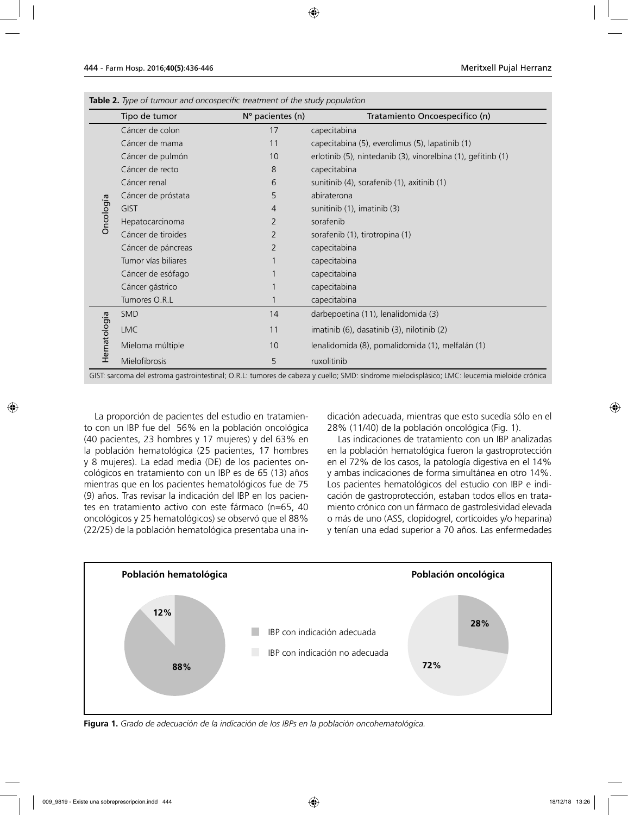|             | Tipo de tumor       | Nº pacientes (n) | Tratamiento Oncoespecífico (n)                               |
|-------------|---------------------|------------------|--------------------------------------------------------------|
|             | Cáncer de colon     | 17               | capecitabina                                                 |
|             | Cáncer de mama      | 11               | capecitabina (5), everolimus (5), lapatinib (1)              |
|             | Cáncer de pulmón    | 10               | erlotinib (5), nintedanib (3), vinorelbina (1), gefitinb (1) |
|             | Cáncer de recto     | 8                | capecitabina                                                 |
|             | Cáncer renal        | 6                | sunitinib (4), sorafenib (1), axitinib (1)                   |
|             | Cáncer de próstata  | 5                | abiraterona                                                  |
| Oncología   | <b>GIST</b>         | 4                | sunitinib (1), imatinib (3)                                  |
|             | Hepatocarcinoma     | 2                | sorafenib                                                    |
|             | Cáncer de tiroides  | 2                | sorafenib (1), tirotropina (1)                               |
|             | Cáncer de páncreas  | 2                | capecitabina                                                 |
|             | Tumor vías biliares |                  | capecitabina                                                 |
|             | Cáncer de esófago   |                  | capecitabina                                                 |
|             | Cáncer gástrico     | $\mathbf{1}$     | capecitabina                                                 |
|             | Tumores O.R.L       | 1                | capecitabina                                                 |
|             | SMD                 | 14               | darbepoetina (11), lenalidomida (3)                          |
| Hematología | <b>LMC</b>          | 11               | imatinib (6), dasatinib (3), nilotinib (2)                   |
|             | Mieloma múltiple    | 10               | lenalidomida (8), pomalidomida (1), melfalán (1)             |
|             | Mielofibrosis       | 5                | ruxolitinib                                                  |

**Table 2.** *Type of tumour and oncospecific treatment of the study population*

GIST: sarcoma del estroma gastrointestinal; O.R.L: tumores de cabeza y cuello; SMD: síndrome mielodisplásico; LMC: leucemia mieloide crónica

La proporción de pacientes del estudio en tratamiento con un IBP fue del 56% en la población oncológica (40 pacientes, 23 hombres y 17 mujeres) y del 63% en la población hematológica (25 pacientes, 17 hombres y 8 mujeres). La edad media (DE) de los pacientes oncológicos en tratamiento con un IBP es de 65 (13) años mientras que en los pacientes hematológicos fue de 75 (9) años. Tras revisar la indicación del IBP en los pacientes en tratamiento activo con este fármaco (n=65, 40 oncológicos y 25 hematológicos) se observó que el 88% (22/25) de la población hematológica presentaba una indicación adecuada, mientras que esto sucedía sólo en el 28% (11/40) de la población oncológica (Fig. 1).

Las indicaciones de tratamiento con un IBP analizadas en la población hematológica fueron la gastroprotección en el 72% de los casos, la patología digestiva en el 14% y ambas indicaciones de forma simultánea en otro 14%. Los pacientes hematológicos del estudio con IBP e indicación de gastroprotección, estaban todos ellos en tratamiento crónico con un fármaco de gastrolesividad elevada o más de uno (ASS, clopidogrel, corticoides y/o heparina) y tenían una edad superior a 70 años. Las enfermedades



**Figura 1.** *Grado de adecuación de la indicación de los IBPs en la población oncohematológica.*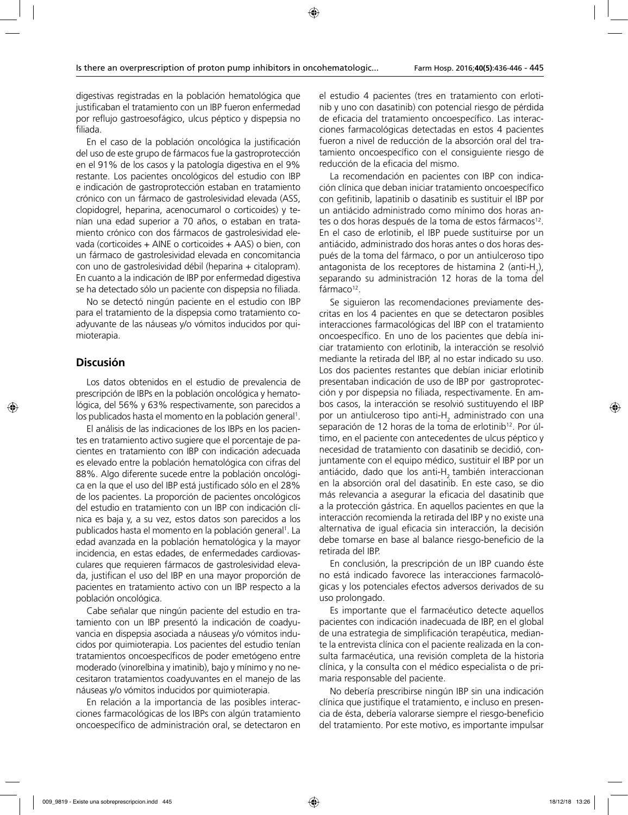digestivas registradas en la población hematológica que justificaban el tratamiento con un IBP fueron enfermedad por reflujo gastroesofágico, ulcus péptico y dispepsia no filiada.

En el caso de la población oncológica la justificación del uso de este grupo de fármacos fue la gastroprotección en el 91% de los casos y la patología digestiva en el 9% restante. Los pacientes oncológicos del estudio con IBP e indicación de gastroprotección estaban en tratamiento crónico con un fármaco de gastrolesividad elevada (ASS, clopidogrel, heparina, acenocumarol o corticoides) y tenían una edad superior a 70 años, o estaban en tratamiento crónico con dos fármacos de gastrolesividad elevada (corticoides + AINE o corticoides + AAS) o bien, con un fármaco de gastrolesividad elevada en concomitancia con uno de gastrolesividad débil (heparina + citalopram). En cuanto a la indicación de IBP por enfermedad digestiva se ha detectado sólo un paciente con dispepsia no filiada.

No se detectó ningún paciente en el estudio con IBP para el tratamiento de la dispepsia como tratamiento coadyuvante de las náuseas y/o vómitos inducidos por quimioterapia.

## **Discusión**

Los datos obtenidos en el estudio de prevalencia de prescripción de IBPs en la población oncológica y hematológica, del 56% y 63% respectivamente, son parecidos a los publicados hasta el momento en la población general<sup>1</sup>.

El análisis de las indicaciones de los IBPs en los pacientes en tratamiento activo sugiere que el porcentaje de pacientes en tratamiento con IBP con indicación adecuada es elevado entre la población hematológica con cifras del 88%. Algo diferente sucede entre la población oncológica en la que el uso del IBP está justificado sólo en el 28% de los pacientes. La proporción de pacientes oncológicos del estudio en tratamiento con un IBP con indicación clínica es baja y, a su vez, estos datos son parecidos a los publicados hasta el momento en la población general<sup>1</sup>. La edad avanzada en la población hematológica y la mayor incidencia, en estas edades, de enfermedades cardiovasculares que requieren fármacos de gastrolesividad elevada, justifican el uso del IBP en una mayor proporción de pacientes en tratamiento activo con un IBP respecto a la población oncológica.

Cabe señalar que ningún paciente del estudio en tratamiento con un IBP presentó la indicación de coadyuvancia en dispepsia asociada a náuseas y/o vómitos inducidos por quimioterapia. Los pacientes del estudio tenían tratamientos oncoespecíficos de poder emetógeno entre moderado (vinorelbina y imatinib), bajo y mínimo y no necesitaron tratamientos coadyuvantes en el manejo de las náuseas y/o vómitos inducidos por quimioterapia.

En relación a la importancia de las posibles interacciones farmacológicas de los IBPs con algún tratamiento oncoespecífico de administración oral, se detectaron en

el estudio 4 pacientes (tres en tratamiento con erlotinib y uno con dasatinib) con potencial riesgo de pérdida de eficacia del tratamiento oncoespecífico. Las interacciones farmacológicas detectadas en estos 4 pacientes fueron a nivel de reducción de la absorción oral del tratamiento oncoespecífico con el consiguiente riesgo de reducción de la eficacia del mismo.

La recomendación en pacientes con IBP con indicación clínica que deban iniciar tratamiento oncoespecífico con gefitinib, lapatinib o dasatinib es sustituir el IBP por un antiácido administrado como mínimo dos horas antes o dos horas después de la toma de estos fármacos<sup>12</sup>. En el caso de erlotinib, el IBP puede sustituirse por un antiácido, administrado dos horas antes o dos horas después de la toma del fármaco, o por un antiulceroso tipo antagonista de los receptores de histamina 2 (anti-H<sub>2</sub>), separando su administración 12 horas de la toma del fármaco<sup>12</sup>.

Se siguieron las recomendaciones previamente descritas en los 4 pacientes en que se detectaron posibles interacciones farmacológicas del IBP con el tratamiento oncoespecífico. En uno de los pacientes que debía iniciar tratamiento con erlotinib, la interacción se resolvió mediante la retirada del IBP, al no estar indicado su uso. Los dos pacientes restantes que debían iniciar erlotinib presentaban indicación de uso de IBP por gastroprotección y por dispepsia no filiada, respectivamente. En ambos casos, la interacción se resolvió sustituyendo el IBP por un antiulceroso tipo anti-H<sub>2</sub> administrado con una separación de 12 horas de la toma de erlotinib<sup>12</sup>. Por último, en el paciente con antecedentes de ulcus péptico y necesidad de tratamiento con dasatinib se decidió, conjuntamente con el equipo médico, sustituir el IBP por un antiácido, dado que los anti-H<sub>2</sub> también interaccionan en la absorción oral del dasatinib. En este caso, se dio más relevancia a asegurar la eficacia del dasatinib que a la protección gástrica. En aquellos pacientes en que la interacción recomienda la retirada del IBP y no existe una alternativa de igual eficacia sin interacción, la decisión debe tomarse en base al balance riesgo-beneficio de la retirada del IBP.

En conclusión, la prescripción de un IBP cuando éste no está indicado favorece las interacciones farmacológicas y los potenciales efectos adversos derivados de su uso prolongado.

Es importante que el farmacéutico detecte aquellos pacientes con indicación inadecuada de IBP, en el global de una estrategia de simplificación terapéutica, mediante la entrevista clínica con el paciente realizada en la consulta farmacéutica, una revisión completa de la historia clínica, y la consulta con el médico especialista o de primaria responsable del paciente.

No debería prescribirse ningún IBP sin una indicación clínica que justifique el tratamiento, e incluso en presencia de ésta, debería valorarse siempre el riesgo-beneficio del tratamiento. Por este motivo, es importante impulsar